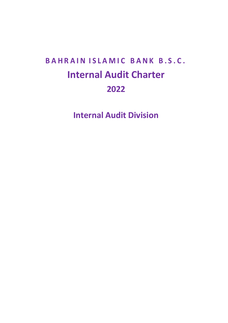# **B A H R A I N I S L A M I C B A N K B . S . C . Internal Audit Charter 2022**

**Internal Audit Division**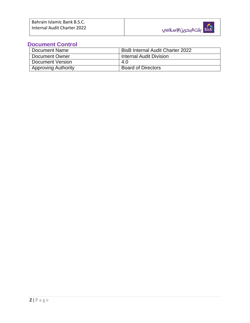#### **Document Control**

| Document Name              | <b>BisB Internal Audit Charter 2022</b> |
|----------------------------|-----------------------------------------|
| Document Owner             | <b>Internal Audit Division</b>          |
| Document Version           | 4.0                                     |
| <b>Approving Authority</b> | <b>Board of Directors</b>               |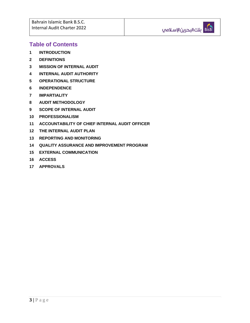#### **Table of Contents**

- **INTRODUCTION**
- **DEFINITIONS**
- **MISSION OF INTERNAL AUDIT**
- **INTERNAL AUDIT AUTHORITY**
- **OPERATIONAL STRUCTURE**
- **INDEPENDENCE**
- **IMPARTIALITY**
- **AUDIT METHODOLOGY**
- **SCOPE OF INTERNAL AUDIT**
- **PROFESSIONALISM**
- **ACCOUNTABILITY OF CHIEF INTERNAL AUDIT OFFICER**
- **THE INTERNAL AUDIT PLAN**
- **REPORTING AND MONITORING**
- **QUALITY ASSURANCE AND IMPROVEMENT PROGRAM**
- **EXTERNAL COMMUNICATION**
- **ACCESS**
- **APPROVALS**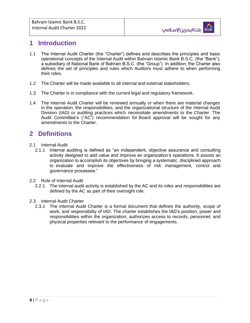## **1 Introduction**

- 1.1 The Internal Audit Charter (the "Charter") defines and describes the principles and basic operational concepts of the Internal Audit within Bahrain Islamic Bank B.S.C. (the "Bank"), a subsidiary of National Bank of Bahrain B.S.C. (the "Group"). In addition, the Charter also defines the set of principles and rules which Auditors must adhere to when performing their roles.
- 1.2 The Charter will be made available to all internal and external stakeholders.
- 1.3 The Charter is in compliance with the current legal and regulatory framework.
- 1.4 The Internal Audit Charter will be reviewed annually or when there are material changes in the operation, the responsibilities, and the organizational structure of the Internal Audit Division (IAD) or auditing practices which necessitate amendments to the Charter. The Audit Committee's ("AC") recommendation for Board approval will be sought for any amendments to the Charter.

## **2 Definitions**

- 2.1 Internal Audit
	- 2.1.1 Internal auditing is defined as "an independent, objective assurance and consulting activity designed to add value and improve an organization's operations. It assists an organization to accomplish its objectives by bringing a systematic, disciplined approach to evaluate and improve the effectiveness of risk management, control and governance processes."
- 2.2 Role of Internal Audit
	- 2.2.1 The internal audit activity is established by the AC and its roles and responsibilities are defined by the AC as part of their oversight role.
- 2.3 Internal Audit Charter
	- 2.3.1 The Internal Audit Charter is a formal document that defines the authority, scope of work, and responsibility of IAD. The charter establishes the IAD's position, power and responsibilities within the organization; authorizes access to records, personnel, and physical properties relevant to the performance of engagements.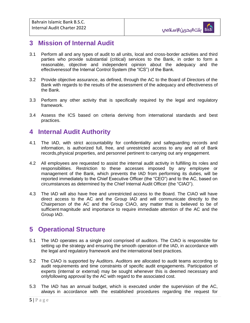#### **3 Mission of Internal Audit**

- 3.1 Perform all and any types of audit to all units, local and cross-border activities and third parties who provide substantial (critical) services to the Bank, in order to form a reasonable, objective and independent opinion about the adequacy and the effectivenessof the Internal Control System (the "ICS") of the Bank.
- 3.2 Provide objective assurance, as defined, through the AC to the Board of Directors of the Bank with regards to the results of the assessment of the adequacy and effectiveness of the Bank.
- 3.3 Perform any other activity that is specifically required by the legal and regulatory framework.
- 3.4 Assess the ICS based on criteria deriving from international standards and best practices.

#### **4 Internal Audit Authority**

- 4.1 The IAD, with strict accountability for confidentiality and safeguarding records and information, is authorized full, free, and unrestricted access to any and all of Bank records,physical properties, and personnel pertinent to carrying out any engagement.
- 4.2 All employees are requested to assist the internal audit activity in fulfilling its roles and responsibilities. Restriction to these accesses imposed by any employee or management of the Bank, which prevents the IAD from performing its duties, will be reported immediately to the Chief Executive Officer (the "CEO") and to the AC, based on circumstances as determined by the Chief Internal Audit Officer (the "CIAO").
- 4.3 The IAD will also have free and unrestricted access to the Board. The CIAO will have direct access to the AC and the Group IAD and will communicate directly to the Chairperson of the AC and the Group CIAO, any matter that is believed to be of sufficient magnitude and importance to require immediate attention of the AC and the Group IAD.

#### **5 Operational Structure**

- 5.1 The IAD operates as a single pool comprised of auditors. The CIAO is responsible for setting up the strategy and ensuring the smooth operation of the IAD, in accordance with the legal and regulatory framework and the international best practices.
- 5.2 The CIAO is supported by Auditors. Auditors are allocated to audit teams according to audit requirements and time constraints of specific audit engagements. Participation of experts (internal or external) may be sought whenever this is deemed necessary and onlyfollowing approval by the AC with regard to the associated cost.
- 5.3 The IAD has an annual budget, which is executed under the supervision of the AC, always in accordance with the established procedures regarding the request for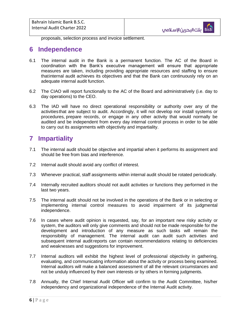proposals, selection process and invoice settlement.

#### **6 Independence**

- 6.1 The internal audit in the Bank is a permanent function. The AC of the Board in coordination with the Bank's executive management will ensure that appropriate measures are taken, including providing appropriate resources and staffing to ensure thatinternal audit achieves its objectives and that the Bank can continuously rely on an adequate internal audit function.
- 6.2 The CIAO will report functionally to the AC of the Board and administratively (i.e. day to day operations) to the CEO.
- 6.3 The IAD will have no direct operational responsibility or authority over any of the activitiesthat are subject to audit. Accordingly, it will not develop nor install systems or procedures, prepare records, or engage in any other activity that would normally be audited and be independent from every day internal control process in order to be able to carry out its assignments with objectivity and impartiality.

# **7 Impartiality**

- 7.1 The internal audit should be objective and impartial when it performs its assignment and should be free from bias and interference.
- 7.2 Internal audit should avoid any conflict of interest.
- 7.3 Whenever practical, staff assignments within internal audit should be rotated periodically.
- 7.4 Internally recruited auditors should not audit activities or functions they performed in the last two years.
- 7.5 The internal audit should not be involved in the operations of the Bank or in selecting or implementing internal control measures to avoid impairment of its judgmental independence.
- 7.6 In cases where audit opinion is requested, say, for an important new risky activity or system, the auditors will only give comments and should not be made responsible for the development and introduction of any measure as such tasks will remain the responsibility of management. The internal audit can audit such activities and subsequent internal audit reports can contain recommendations relating to deficiencies and weaknesses and suggestions for improvement.
- 7.7 Internal auditors will exhibit the highest level of professional objectivity in gathering, evaluating, and communicating information about the activity or process being examined. Internal auditors will make a balanced assessment of all the relevant circumstances and not be unduly influenced by their own interests or by others in forming judgments.
- 7.8 Annually, the Chief Internal Audit Officer will confirm to the Audit Committee, his/her independency and organizational independence of the Internal Audit activity.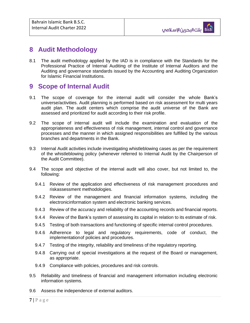#### **8 Audit Methodology**

8.1 The audit methodology applied by the IAD is in compliance with the Standards for the Professional Practice of Internal Auditing of the Institute of Internal Auditors and the Auditing and governance standards issued by the Accounting and Auditing Organization for Islamic Financial Institutions.

#### **9 Scope of Internal Audit**

- 9.1 The scope of coverage for the internal audit will consider the whole Bank's universe/activities. Audit planning is performed based on risk assessment for multi years audit plan. The audit centers which comprise the audit universe of the Bank are assessed and prioritized for audit according to their risk profile.
- 9.2 The scope of internal audit will include the examination and evaluation of the appropriateness and effectiveness of risk management, internal control and governance processes and the manner in which assigned responsibilities are fulfilled by the various branches and departments in the Bank.
- 9.3 Internal Audit activities include investigating whistleblowing cases as per the requirement of the whistleblowing policy (whenever referred to Internal Audit by the Chairperson of the Audit Committee).
- 9.4 The scope and objective of the internal audit will also cover, but not limited to, the following:
	- 9.4.1 Review of the application and effectiveness of risk management procedures and riskassessment methodologies.
	- 9.4.2 Review of the management and financial information systems, including the electronicinformation system and electronic banking services.
	- 9.4.3 Review of the accuracy and reliability of the accounting records and financial reports.
	- 9.4.4 Review of the Bank's system of assessing its capital in relation to its estimate of risk.
	- 9.4.5 Testing of both transactions and functioning of specific internal control procedures.
	- 9.4.6 Adherence to legal and regulatory requirements, code of conduct, the implementation of policies and procedures.
	- 9.4.7 Testing of the integrity, reliability and timeliness of the regulatory reporting.
	- 9.4.8 Carrying out of special investigations at the request of the Board or management, as appropriate.
	- 9.4.9 Compliance with policies, procedures and risk controls.
- 9.5 Reliability and timeliness of financial and management information including electronic information systems.
- 9.6 Assess the independence of external auditors.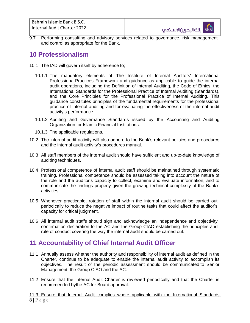Bahrain Islamic Bank B.S.C. Internal Audit Charter 2022



9.7 Performing consulting and advisory services related to governance, risk management and control as appropriate for the Bank.

#### **10 Professionalism**

- 10.1 The IAD will govern itself by adherence to;
	- 10.1.1 The mandatory elements of The Institute of Internal Auditors' International Professional Practices Framework and guidance as applicable to guide the internal audit operations, including the Definition of Internal Auditing, the Code of Ethics, the International Standards for the Professional Practice of Internal Auditing (Standards), and the Core Principles for the Professional Practice of Internal Auditing. This guidance constitutes principles of the fundamental requirements for the professional practice of internal auditing and for evaluating the effectiveness of the internal audit activity's performance.
	- 10.1.2 Auditing and Governance Standards issued by the Accounting and Auditing Organization for Islamic Financial Institutions.
	- 10.1.3 The applicable regulations.
- 10.2 The internal audit activity will also adhere to the Bank's relevant policies and procedures and the internal audit activity's procedures manual.
- 10.3 All staff members of the internal audit should have sufficient and up-to-date knowledge of auditing techniques.
- 10.4 Professional competence of internal audit staff should be maintained through systematic training. Professional competence should be assessed taking into account the nature of the role and the auditor's capacity to collect, examine and evaluate information, and to communicate the findings properly given the growing technical complexity of the Bank's activities.
- 10.5 Whenever practicable, rotation of staff within the internal audit should be carried out periodically to reduce the negative impact of routine tasks that could affect the auditor's capacity for critical judgment.
- 10.6 All internal audit staffs should sign and acknowledge an independence and objectivity confirmation declaration to the AC and the Group CIAO establishing the principles and rule of conduct covering the way the internal audit should be carried out.

#### **11 Accountability of Chief Internal Audit Officer**

- 11.1 Annually assess whether the authority and responsibility of internal audit as defined in the Charter, continue to be adequate to enable the internal audit activity to accomplish its objectives. The result of the periodic assessment should be communicated to Senior Management, the Group CIAO and the AC.
- 11.2 Ensure that the Internal Audit Charter is reviewed periodically and that the Charter is recommended bythe AC for Board approval.

 $8 | P a g e$ 11.3 Ensure that Internal Audit complies where applicable with the International Standards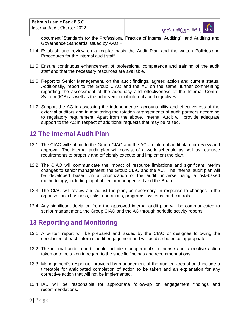document "Standards for the Professional Practice of Internal Auditing" and Auditing and Governance Standards issued by AAOIFI.

- 11.4 Establish and review on a regular basis the Audit Plan and the written Policies and Procedures for the internal audit staff.
- 11.5 Ensure continuous enhancement of professional competence and training of the audit staff and that the necessary resources are available.
- 11.6 Report to Senior Management, on the audit findings, agreed action and current status. Additionally, report to the Group CIAO and the AC on the same, further commenting regarding the assessment of the adequacy and effectiveness of the Internal Control System (ICS) as well as the achievement of internal audit objectives.
- 11.7 Support the AC in assessing the independence, accountability and effectiveness of the external auditors and in monitoring the rotation arrangements of audit partners according to regulatory requirement. Apart from the above, Internal Audit will provide adequate support to the AC in respect of additional requests that may be raised.

# **12 The Internal Audit Plan**

- 12.1 The CIAO will submit to the Group CIAO and the AC an internal audit plan for review and approval. The internal audit plan will consist of a work schedule as well as resource requirements to properly and efficiently execute and implement the plan.
- 12.2 The CIAO will communicate the impact of resource limitations and significant interim changes to senior management, the Group CIAO and the AC. The internal audit plan will be developed based on a prioritization of the audit universe using a risk-based methodology, including input of senior management and the Board.
- 12.3 The CIAO will review and adjust the plan, as necessary, in response to changes in the organization's business, risks, operations, programs, systems, and controls.
- 12.4 Any significant deviation from the approved internal audit plan will be communicated to senior management, the Group CIAO and the AC through periodic activity reports.

## **13 Reporting and Monitoring**

- 13.1 A written report will be prepared and issued by the CIAO or designee following the conclusion of each internal audit engagement and will be distributed as appropriate.
- 13.2 The internal audit report should include management's response and corrective action taken or to be taken in regard to the specific findings and recommendations.
- 13.3 Management's response, provided by management of the audited area should include a timetable for anticipated completion of action to be taken and an explanation for any corrective action that will not be implemented.
- 13.4 IAD will be responsible for appropriate follow-up on engagement findings and recommendations.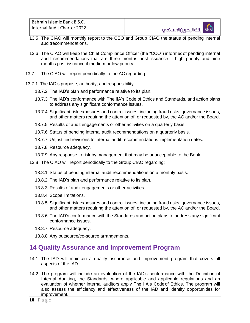Bahrain Islamic Bank B.S.C. Internal Audit Charter 2022

- 13.5 The CIAO will monthly report to the CEO and Group CIAO the status of pending internal auditrecommendations.
- 13.6 The CIAO will keep the Chief Compliance Officer (the "CCO") informedof pending internal audit recommendations that are three months post issuance if high priority and nine months post issuance if medium or low priority.
- 13.7 The CIAO will report periodically to the AC regarding:
- 13.7.1 The IAD's purpose, authority, and responsibility.
	- 13.7.2 The IAD's plan and performance relative to its plan.
	- 13.7.3 The IAD's conformance with The IIA's Code of Ethics and Standards, and action plans to address any significant conformance issues.
	- 13.7.4 Significant risk exposures and control issues, including fraud risks, governance issues, and other matters requiring the attention of, or requested by, the AC and/or the Board.
	- 13.7.5 Results of audit engagements or other activities on a quarterly basis.
	- 13.7.6 Status of pending internal audit recommendations on a quarterly basis.
	- 13.7.7 Unjustified revisions to internal audit recommendations implementation dates.
	- 13.7.8 Resource adequacy.
	- 13.7.9 Any response to risk by management that may be unacceptable to the Bank.
	- 13.8 The CIAO will report periodically to the Group CIAO regarding;
		- 13.8.1 Status of pending internal audit recommendations on a monthly basis.
		- 13.8.2 The IAD's plan and performance relative to its plan.
		- 13.8.3 Results of audit engagements or other activities.
		- 13.8.4 Scope limitations.
		- 13.8.5 Significant risk exposures and control issues, including fraud risks, governance issues, and other matters requiring the attention of, or requested by, the AC and/or the Board.
		- 13.8.6 The IAD's conformance with the Standards and action plans to address any significant conformance issues.
		- 13.8.7 Resource adequacy.
		- 13.8.8 Any outsource/co-source arrangements.

#### **14 Quality Assurance and Improvement Program**

- 14.1 The IAD will maintain a quality assurance and improvement program that covers all aspects of the IAD.
- 14.2 The program will include an evaluation of the IAD's conformance with the Definition of Internal Auditing, the Standards, where applicable and applicable regulations and an evaluation of whether internal auditors apply The IIA's Codeof Ethics. The program will also assess the efficiency and effectiveness of the IAD and identify opportunities for improvement.